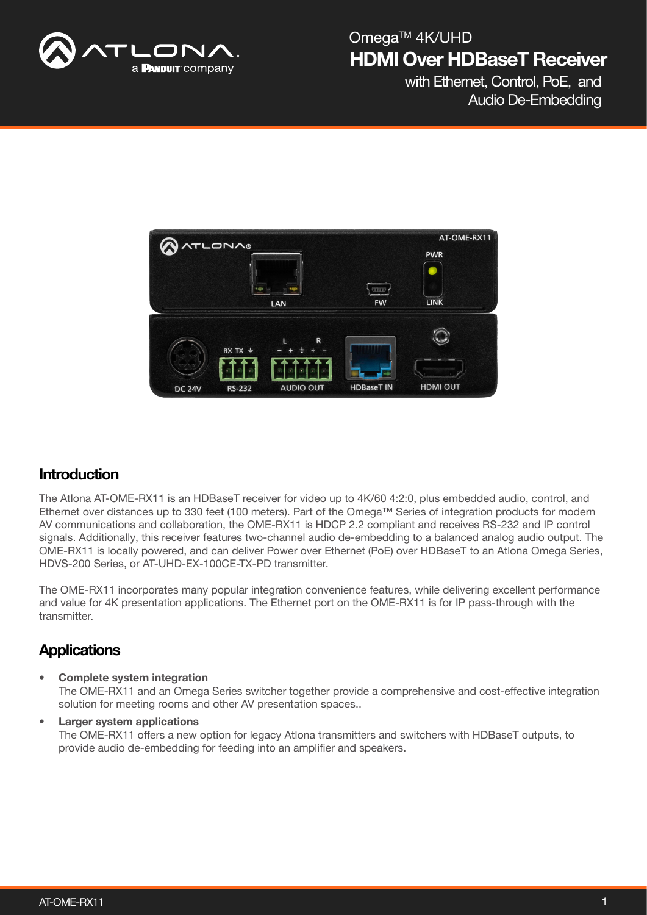

with Ethernet, Control, PoE, and Audio De-Embedding



### **Introduction**

The Atlona AT-OME-RX11 is an HDBaseT receiver for video up to 4K/60 4:2:0, plus embedded audio, control, and Ethernet over distances up to 330 feet (100 meters). Part of the Omega™ Series of integration products for modern AV communications and collaboration, the OME-RX11 is HDCP 2.2 compliant and receives RS-232 and IP control signals. Additionally, this receiver features two-channel audio de-embedding to a balanced analog audio output. The OME-RX11 is locally powered, and can deliver Power over Ethernet (PoE) over HDBaseT to an Atlona Omega Series, HDVS-200 Series, or AT-UHD-EX-100CE-TX-PD transmitter.

The OME-RX11 incorporates many popular integration convenience features, while delivering excellent performance and value for 4K presentation applications. The Ethernet port on the OME-RX11 is for IP pass-through with the transmitter.

### **Applications**

• Complete system integration

The OME-RX11 and an Omega Series switcher together provide a comprehensive and cost-effective integration solution for meeting rooms and other AV presentation spaces..

• Larger system applications The OME-RX11 offers a new option for legacy Atlona transmitters and switchers with HDBaseT outputs, to provide audio de-embedding for feeding into an amplifier and speakers.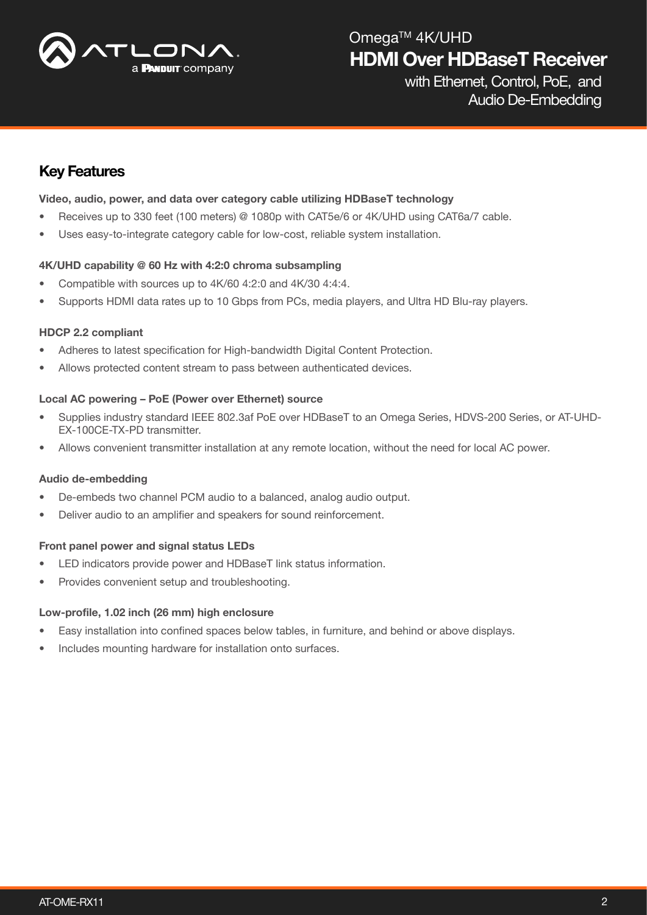

with Ethernet, Control, PoE, and Audio De-Embedding

### Key Features

#### Video, audio, power, and data over category cable utilizing HDBaseT technology

- Receives up to 330 feet (100 meters) @ 1080p with CAT5e/6 or 4K/UHD using CAT6a/7 cable.
- Uses easy-to-integrate category cable for low-cost, reliable system installation.

#### 4K/UHD capability @ 60 Hz with 4:2:0 chroma subsampling

- Compatible with sources up to 4K/60 4:2:0 and 4K/30 4:4:4.
- Supports HDMI data rates up to 10 Gbps from PCs, media players, and Ultra HD Blu-ray players.

#### HDCP 2.2 compliant

- Adheres to latest specification for High-bandwidth Digital Content Protection.
- Allows protected content stream to pass between authenticated devices.

#### Local AC powering – PoE (Power over Ethernet) source

- Supplies industry standard IEEE 802.3af PoE over HDBaseT to an Omega Series, HDVS-200 Series, or AT-UHD-EX-100CE-TX-PD transmitter.
- Allows convenient transmitter installation at any remote location, without the need for local AC power.

#### Audio de-embedding

- De-embeds two channel PCM audio to a balanced, analog audio output.
- Deliver audio to an amplifier and speakers for sound reinforcement.

#### Front panel power and signal status LEDs

- LED indicators provide power and HDBaseT link status information.
- Provides convenient setup and troubleshooting.

#### Low-profile, 1.02 inch (26 mm) high enclosure

- Easy installation into confined spaces below tables, in furniture, and behind or above displays.
- Includes mounting hardware for installation onto surfaces.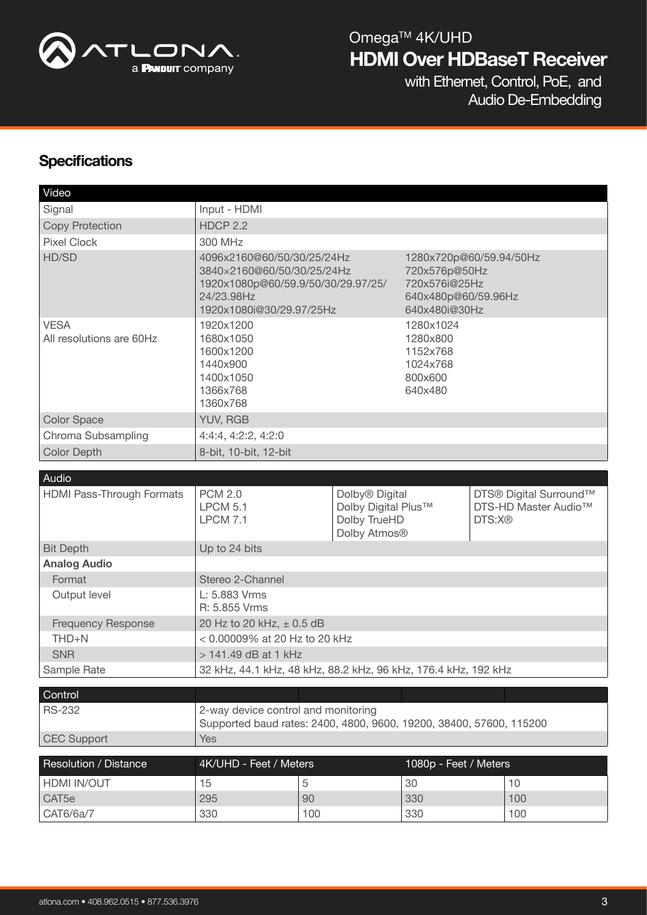

with Ethernet, Control, PoE, and Audio De-Embedding

### **Specifications**

| Video                                   |                                                                                                                                          |           |                                                                                                   |                       |        |                                                |
|-----------------------------------------|------------------------------------------------------------------------------------------------------------------------------------------|-----------|---------------------------------------------------------------------------------------------------|-----------------------|--------|------------------------------------------------|
| Signal                                  | Input - HDMI                                                                                                                             |           |                                                                                                   |                       |        |                                                |
| <b>Copy Protection</b>                  | <b>HDCP 2.2</b>                                                                                                                          |           |                                                                                                   |                       |        |                                                |
| <b>Pixel Clock</b>                      | 300 MHz                                                                                                                                  |           |                                                                                                   |                       |        |                                                |
| HD/SD                                   | 4096x2160@60/50/30/25/24Hz<br>3840×2160@60/50/30/25/24Hz<br>1920x1080p@60/59.9/50/30/29.97/25/<br>24/23.98Hz<br>1920x1080i@30/29.97/25Hz |           | 1280x720p@60/59.94/50Hz<br>720x576p@50Hz<br>720x576i@25Hz<br>640x480p@60/59.96Hz<br>640x480i@30Hz |                       |        |                                                |
| <b>VESA</b><br>All resolutions are 60Hz | 1920x1200<br>1680x1050<br>1600x1200<br>1440×900<br>1400x1050<br>1366x768<br>1360x768                                                     |           | 1280x1024<br>1280x800<br>1152x768<br>1024x768<br>800x600<br>640x480                               |                       |        |                                                |
| <b>Color Space</b>                      | YUV, RGB                                                                                                                                 |           |                                                                                                   |                       |        |                                                |
| Chroma Subsampling                      | 4:4:4, 4:2:2, 4:2:0                                                                                                                      |           |                                                                                                   |                       |        |                                                |
| <b>Color Depth</b>                      | 8-bit, 10-bit, 12-bit                                                                                                                    |           |                                                                                                   |                       |        |                                                |
|                                         |                                                                                                                                          |           |                                                                                                   |                       |        |                                                |
| Audio                                   |                                                                                                                                          |           |                                                                                                   |                       |        |                                                |
| <b>HDMI Pass-Through Formats</b>        | <b>PCM 2.0</b><br><b>LPCM 5.1</b><br><b>LPCM 7.1</b>                                                                                     |           | Dolby <sup>®</sup> Digital<br>Dolby Digital Plus™<br>Dolby TrueHD<br>Dolby Atmos <sup>®</sup>     |                       | DTS:X® | DTS® Digital Surround™<br>DTS-HD Master Audio™ |
| <b>Bit Depth</b>                        | Up to 24 bits                                                                                                                            |           |                                                                                                   |                       |        |                                                |
| <b>Analog Audio</b>                     |                                                                                                                                          |           |                                                                                                   |                       |        |                                                |
| Format                                  | Stereo 2-Channel                                                                                                                         |           |                                                                                                   |                       |        |                                                |
| Output level                            | L: 5.883 Vrms<br>R: 5.855 Vrms                                                                                                           |           |                                                                                                   |                       |        |                                                |
| <b>Frequency Response</b>               | 20 Hz to 20 kHz, ± 0.5 dB                                                                                                                |           |                                                                                                   |                       |        |                                                |
| $THD+N$                                 | < 0.00009% at 20 Hz to 20 kHz                                                                                                            |           |                                                                                                   |                       |        |                                                |
|                                         |                                                                                                                                          |           |                                                                                                   |                       |        |                                                |
| <b>SNR</b>                              | > 141.49 dB at 1 kHz                                                                                                                     |           |                                                                                                   |                       |        |                                                |
|                                         | 32 kHz, 44.1 kHz, 48 kHz, 88.2 kHz, 96 kHz, 176.4 kHz, 192 kHz                                                                           |           |                                                                                                   |                       |        |                                                |
| Sample Rate                             |                                                                                                                                          |           |                                                                                                   |                       |        |                                                |
| Control                                 |                                                                                                                                          |           |                                                                                                   |                       |        |                                                |
| <b>RS-232</b>                           | 2-way device control and monitoring<br>Supported baud rates: 2400, 4800, 9600, 19200, 38400, 57600, 115200                               |           |                                                                                                   |                       |        |                                                |
| <b>CEC Support</b>                      | Yes                                                                                                                                      |           |                                                                                                   |                       |        |                                                |
|                                         |                                                                                                                                          |           |                                                                                                   |                       |        |                                                |
| Resolution / Distance                   | 4K/UHD - Feet / Meters                                                                                                                   |           |                                                                                                   | 1080p - Feet / Meters |        |                                                |
| <b>HDMI IN/OUT</b>                      | 15                                                                                                                                       | 5         |                                                                                                   | 30                    |        | 10                                             |
| CAT <sub>5e</sub><br>CAT6/6a/7          | 295<br>330                                                                                                                               | 90<br>100 |                                                                                                   | 330<br>330            |        | 100<br>100                                     |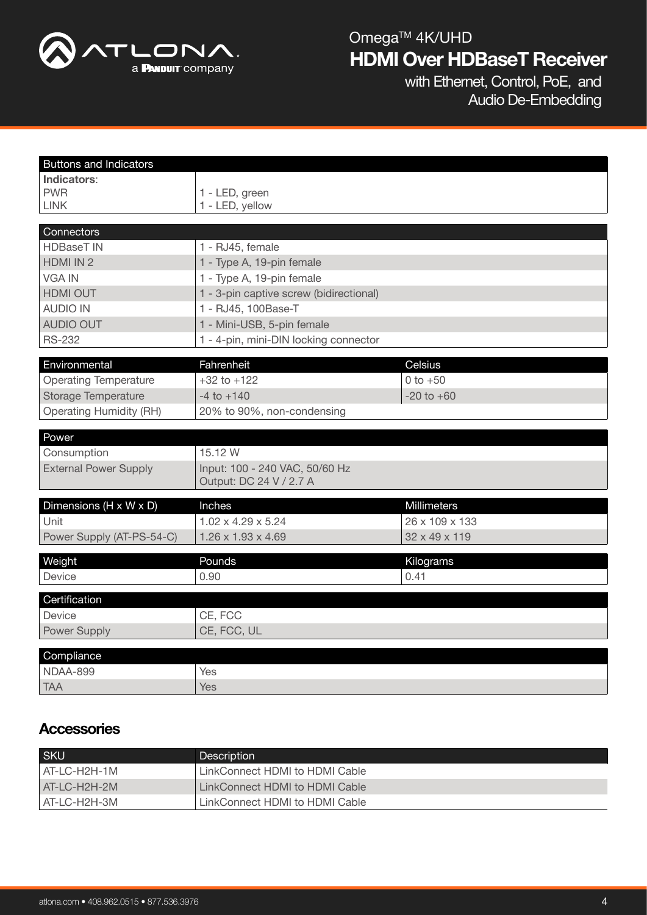

with Ethernet, Control, PoE, and Audio De-Embedding

| <b>Buttons and Indicators</b>  |                                                           |                |  |  |  |
|--------------------------------|-----------------------------------------------------------|----------------|--|--|--|
| Indicators:                    |                                                           |                |  |  |  |
| <b>PWR</b>                     | 1 - LED, green                                            |                |  |  |  |
| <b>LINK</b>                    | 1 - LED, yellow                                           |                |  |  |  |
| Connectors                     |                                                           |                |  |  |  |
| <b>HDBaseT IN</b>              | 1 - RJ45, female                                          |                |  |  |  |
| HDMI IN 2                      | 1 - Type A, 19-pin female                                 |                |  |  |  |
| <b>VGA IN</b>                  | 1 - Type A, 19-pin female                                 |                |  |  |  |
| <b>HDMI OUT</b>                | 1 - 3-pin captive screw (bidirectional)                   |                |  |  |  |
| <b>AUDIO IN</b>                | 1 - RJ45, 100Base-T                                       |                |  |  |  |
| <b>AUDIO OUT</b>               | 1 - Mini-USB, 5-pin female                                |                |  |  |  |
| <b>RS-232</b>                  | 1 - 4-pin, mini-DIN locking connector                     |                |  |  |  |
|                                |                                                           |                |  |  |  |
| Environmental                  | Fahrenheit                                                | Celsius        |  |  |  |
| <b>Operating Temperature</b>   | $+32$ to $+122$                                           | 0 to $+50$     |  |  |  |
| <b>Storage Temperature</b>     | $-20$ to $+60$<br>$-4$ to $+140$                          |                |  |  |  |
| <b>Operating Humidity (RH)</b> | 20% to 90%, non-condensing                                |                |  |  |  |
|                                |                                                           |                |  |  |  |
| Power<br>Consumption           |                                                           |                |  |  |  |
| <b>External Power Supply</b>   | 15.12 W                                                   |                |  |  |  |
|                                | Input: 100 - 240 VAC, 50/60 Hz<br>Output: DC 24 V / 2.7 A |                |  |  |  |
|                                |                                                           |                |  |  |  |
| Dimensions (H x W x D)         | Inches                                                    | Millimeters    |  |  |  |
| Unit                           | $1.02 \times 4.29 \times 5.24$                            | 26 x 109 x 133 |  |  |  |
| Power Supply (AT-PS-54-C)      | $1.26 \times 1.93 \times 4.69$                            | 32 x 49 x 119  |  |  |  |
| Weight                         | Pounds                                                    | Kilograms      |  |  |  |
| Device                         | 0.90                                                      | 0.41           |  |  |  |
|                                |                                                           |                |  |  |  |
| Certification                  |                                                           |                |  |  |  |
| <b>Device</b>                  | CE, FCC                                                   |                |  |  |  |
| Power Supply                   | CE, FCC, UL                                               |                |  |  |  |
| Compliance                     |                                                           |                |  |  |  |
| NDAA-899                       | Yes                                                       |                |  |  |  |
| <b>TAA</b>                     | Yes                                                       |                |  |  |  |

### **Accessories**

| <b>SKU</b>     | <b>Description</b>             |
|----------------|--------------------------------|
| l AT-LC-H2H-1M | LinkConnect HDMI to HDMI Cable |
| $AT-LC-H2H-2M$ | LinkConnect HDMI to HDMI Cable |
| AT-LC-H2H-3M   | LinkConnect HDMI to HDMI Cable |